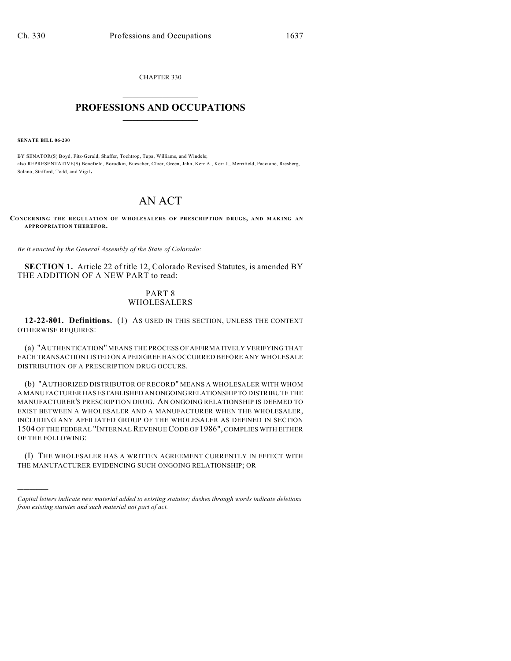CHAPTER 330  $\overline{\phantom{a}}$  . The set of the set of the set of the set of the set of the set of the set of the set of the set of the set of the set of the set of the set of the set of the set of the set of the set of the set of the set o

## **PROFESSIONS AND OCCUPATIONS**  $\frac{1}{2}$  ,  $\frac{1}{2}$  ,  $\frac{1}{2}$  ,  $\frac{1}{2}$  ,  $\frac{1}{2}$  ,  $\frac{1}{2}$

**SENATE BILL 06-230**

)))))

BY SENATOR(S) Boyd, Fitz-Gerald, Shaffer, Tochtrop, Tupa, Williams, and Windels; also REPRESENTATIVE(S) Benefield, Borodkin, Buescher, Cloer, Green, Jahn, Kerr A., Kerr J., Merrifield, Paccione, Riesberg, Solano, Stafford, Todd, and Vigil.

## AN ACT

**CONCERNING THE REGULATION OF WHOLESALERS OF PRESCRIPTION DRUGS, AND M AKING AN APPROPRIATION THEREFOR.**

*Be it enacted by the General Assembly of the State of Colorado:*

**SECTION 1.** Article 22 of title 12, Colorado Revised Statutes, is amended BY THE ADDITION OF A NEW PART to read:

## PART 8 WHOLESALERS

**12-22-801. Definitions.** (1) AS USED IN THIS SECTION, UNLESS THE CONTEXT OTHERWISE REQUIRES:

(a) "AUTHENTICATION" MEANS THE PROCESS OF AFFIRMATIVELY VERIFYING THAT EACH TRANSACTION LISTED ON A PEDIGREE HAS OCCURRED BEFORE ANY WHOLESALE DISTRIBUTION OF A PRESCRIPTION DRUG OCCURS.

(b) "AUTHORIZED DISTRIBUTOR OF RECORD" MEANS A WHOLESALER WITH WHOM A MANUFACTURER HAS ESTABLISHED AN ONGOING RELATIONSHIP TO DISTRIBUTE THE MANUFACTURER'S PRESCRIPTION DRUG. AN ONGOING RELATIONSHIP IS DEEMED TO EXIST BETWEEN A WHOLESALER AND A MANUFACTURER WHEN THE WHOLESALER, INCLUDING ANY AFFILIATED GROUP OF THE WHOLESALER AS DEFINED IN SECTION 1504 OF THE FEDERAL "INTERNAL REVENUE CODE OF 1986", COMPLIES WITH EITHER OF THE FOLLOWING:

(I) THE WHOLESALER HAS A WRITTEN AGREEMENT CURRENTLY IN EFFECT WITH THE MANUFACTURER EVIDENCING SUCH ONGOING RELATIONSHIP; OR

*Capital letters indicate new material added to existing statutes; dashes through words indicate deletions from existing statutes and such material not part of act.*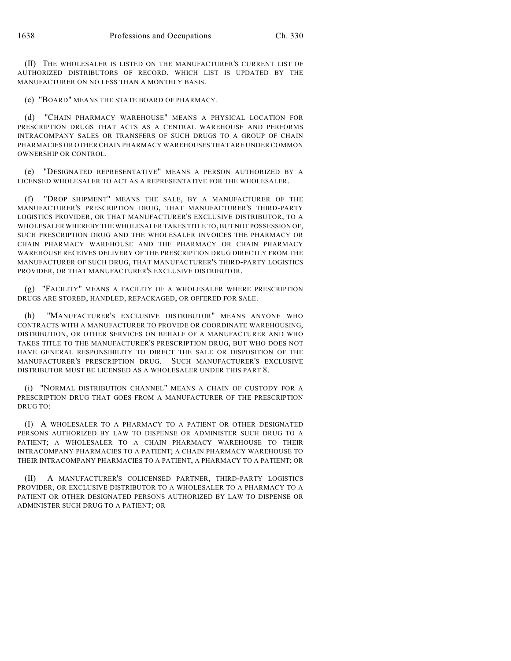(II) THE WHOLESALER IS LISTED ON THE MANUFACTURER'S CURRENT LIST OF AUTHORIZED DISTRIBUTORS OF RECORD, WHICH LIST IS UPDATED BY THE MANUFACTURER ON NO LESS THAN A MONTHLY BASIS.

(c) "BOARD" MEANS THE STATE BOARD OF PHARMACY.

(d) "CHAIN PHARMACY WAREHOUSE" MEANS A PHYSICAL LOCATION FOR PRESCRIPTION DRUGS THAT ACTS AS A CENTRAL WAREHOUSE AND PERFORMS INTRACOMPANY SALES OR TRANSFERS OF SUCH DRUGS TO A GROUP OF CHAIN PHARMACIES OR OTHER CHAIN PHARMACY WAREHOUSES THAT ARE UNDER COMMON OWNERSHIP OR CONTROL.

(e) "DESIGNATED REPRESENTATIVE" MEANS A PERSON AUTHORIZED BY A LICENSED WHOLESALER TO ACT AS A REPRESENTATIVE FOR THE WHOLESALER.

(f) "DROP SHIPMENT" MEANS THE SALE, BY A MANUFACTURER OF THE MANUFACTURER'S PRESCRIPTION DRUG, THAT MANUFACTURER'S THIRD-PARTY LOGISTICS PROVIDER, OR THAT MANUFACTURER'S EXCLUSIVE DISTRIBUTOR, TO A WHOLESALER WHEREBY THE WHOLESALER TAKES TITLE TO, BUT NOT POSSESSION OF, SUCH PRESCRIPTION DRUG AND THE WHOLESALER INVOICES THE PHARMACY OR CHAIN PHARMACY WAREHOUSE AND THE PHARMACY OR CHAIN PHARMACY WAREHOUSE RECEIVES DELIVERY OF THE PRESCRIPTION DRUG DIRECTLY FROM THE MANUFACTURER OF SUCH DRUG, THAT MANUFACTURER'S THIRD-PARTY LOGISTICS PROVIDER, OR THAT MANUFACTURER'S EXCLUSIVE DISTRIBUTOR.

(g) "FACILITY" MEANS A FACILITY OF A WHOLESALER WHERE PRESCRIPTION DRUGS ARE STORED, HANDLED, REPACKAGED, OR OFFERED FOR SALE.

(h) "MANUFACTURER'S EXCLUSIVE DISTRIBUTOR" MEANS ANYONE WHO CONTRACTS WITH A MANUFACTURER TO PROVIDE OR COORDINATE WAREHOUSING, DISTRIBUTION, OR OTHER SERVICES ON BEHALF OF A MANUFACTURER AND WHO TAKES TITLE TO THE MANUFACTURER'S PRESCRIPTION DRUG, BUT WHO DOES NOT HAVE GENERAL RESPONSIBILITY TO DIRECT THE SALE OR DISPOSITION OF THE MANUFACTURER'S PRESCRIPTION DRUG. SUCH MANUFACTURER'S EXCLUSIVE DISTRIBUTOR MUST BE LICENSED AS A WHOLESALER UNDER THIS PART 8.

(i) "NORMAL DISTRIBUTION CHANNEL" MEANS A CHAIN OF CUSTODY FOR A PRESCRIPTION DRUG THAT GOES FROM A MANUFACTURER OF THE PRESCRIPTION DRUG TO:

(I) A WHOLESALER TO A PHARMACY TO A PATIENT OR OTHER DESIGNATED PERSONS AUTHORIZED BY LAW TO DISPENSE OR ADMINISTER SUCH DRUG TO A PATIENT; A WHOLESALER TO A CHAIN PHARMACY WAREHOUSE TO THEIR INTRACOMPANY PHARMACIES TO A PATIENT; A CHAIN PHARMACY WAREHOUSE TO THEIR INTRACOMPANY PHARMACIES TO A PATIENT, A PHARMACY TO A PATIENT; OR

(II) A MANUFACTURER'S COLICENSED PARTNER, THIRD-PARTY LOGISTICS PROVIDER, OR EXCLUSIVE DISTRIBUTOR TO A WHOLESALER TO A PHARMACY TO A PATIENT OR OTHER DESIGNATED PERSONS AUTHORIZED BY LAW TO DISPENSE OR ADMINISTER SUCH DRUG TO A PATIENT; OR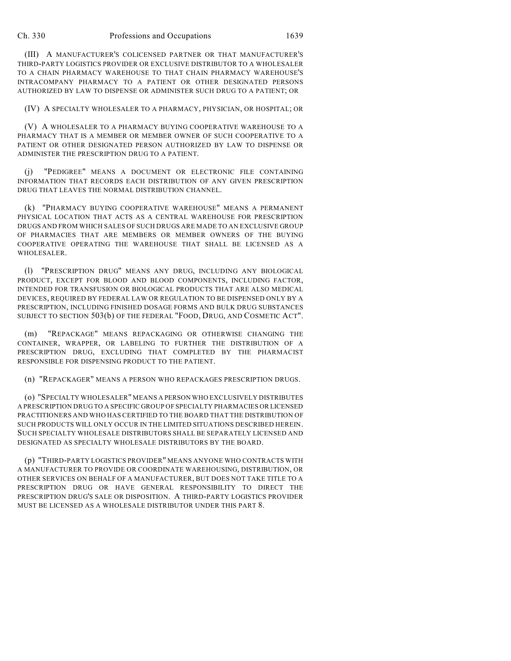(III) A MANUFACTURER'S COLICENSED PARTNER OR THAT MANUFACTURER'S THIRD-PARTY LOGISTICS PROVIDER OR EXCLUSIVE DISTRIBUTOR TO A WHOLESALER TO A CHAIN PHARMACY WAREHOUSE TO THAT CHAIN PHARMACY WAREHOUSE'S INTRACOMPANY PHARMACY TO A PATIENT OR OTHER DESIGNATED PERSONS AUTHORIZED BY LAW TO DISPENSE OR ADMINISTER SUCH DRUG TO A PATIENT; OR

(IV) A SPECIALTY WHOLESALER TO A PHARMACY, PHYSICIAN, OR HOSPITAL; OR

(V) A WHOLESALER TO A PHARMACY BUYING COOPERATIVE WAREHOUSE TO A PHARMACY THAT IS A MEMBER OR MEMBER OWNER OF SUCH COOPERATIVE TO A PATIENT OR OTHER DESIGNATED PERSON AUTHORIZED BY LAW TO DISPENSE OR ADMINISTER THE PRESCRIPTION DRUG TO A PATIENT.

(j) "PEDIGREE" MEANS A DOCUMENT OR ELECTRONIC FILE CONTAINING INFORMATION THAT RECORDS EACH DISTRIBUTION OF ANY GIVEN PRESCRIPTION DRUG THAT LEAVES THE NORMAL DISTRIBUTION CHANNEL.

(k) "PHARMACY BUYING COOPERATIVE WAREHOUSE" MEANS A PERMANENT PHYSICAL LOCATION THAT ACTS AS A CENTRAL WAREHOUSE FOR PRESCRIPTION DRUGS AND FROM WHICH SALES OF SUCH DRUGS ARE MADE TO AN EXCLUSIVE GROUP OF PHARMACIES THAT ARE MEMBERS OR MEMBER OWNERS OF THE BUYING COOPERATIVE OPERATING THE WAREHOUSE THAT SHALL BE LICENSED AS A WHOLESALER.

(l) "PRESCRIPTION DRUG" MEANS ANY DRUG, INCLUDING ANY BIOLOGICAL PRODUCT, EXCEPT FOR BLOOD AND BLOOD COMPONENTS, INCLUDING FACTOR, INTENDED FOR TRANSFUSION OR BIOLOGICAL PRODUCTS THAT ARE ALSO MEDICAL DEVICES, REQUIRED BY FEDERAL LAW OR REGULATION TO BE DISPENSED ONLY BY A PRESCRIPTION, INCLUDING FINISHED DOSAGE FORMS AND BULK DRUG SUBSTANCES SUBJECT TO SECTION 503(b) OF THE FEDERAL "FOOD, DRUG, AND COSMETIC ACT".

(m) "REPACKAGE" MEANS REPACKAGING OR OTHERWISE CHANGING THE CONTAINER, WRAPPER, OR LABELING TO FURTHER THE DISTRIBUTION OF A PRESCRIPTION DRUG, EXCLUDING THAT COMPLETED BY THE PHARMACIST RESPONSIBLE FOR DISPENSING PRODUCT TO THE PATIENT.

(n) "REPACKAGER" MEANS A PERSON WHO REPACKAGES PRESCRIPTION DRUGS.

(o) "SPECIALTY WHOLESALER" MEANS A PERSON WHO EXCLUSIVELY DISTRIBUTES A PRESCRIPTION DRUG TO A SPECIFIC GROUP OF SPECIALTY PHARMACIES OR LICENSED PRACTITIONERS AND WHO HAS CERTIFIED TO THE BOARD THAT THE DISTRIBUTION OF SUCH PRODUCTS WILL ONLY OCCUR IN THE LIMITED SITUATIONS DESCRIBED HEREIN. SUCH SPECIALTY WHOLESALE DISTRIBUTORS SHALL BE SEPARATELY LICENSED AND DESIGNATED AS SPECIALTY WHOLESALE DISTRIBUTORS BY THE BOARD.

(p) "THIRD-PARTY LOGISTICS PROVIDER" MEANS ANYONE WHO CONTRACTS WITH A MANUFACTURER TO PROVIDE OR COORDINATE WAREHOUSING, DISTRIBUTION, OR OTHER SERVICES ON BEHALF OF A MANUFACTURER, BUT DOES NOT TAKE TITLE TO A PRESCRIPTION DRUG OR HAVE GENERAL RESPONSIBILITY TO DIRECT THE PRESCRIPTION DRUG'S SALE OR DISPOSITION. A THIRD-PARTY LOGISTICS PROVIDER MUST BE LICENSED AS A WHOLESALE DISTRIBUTOR UNDER THIS PART 8.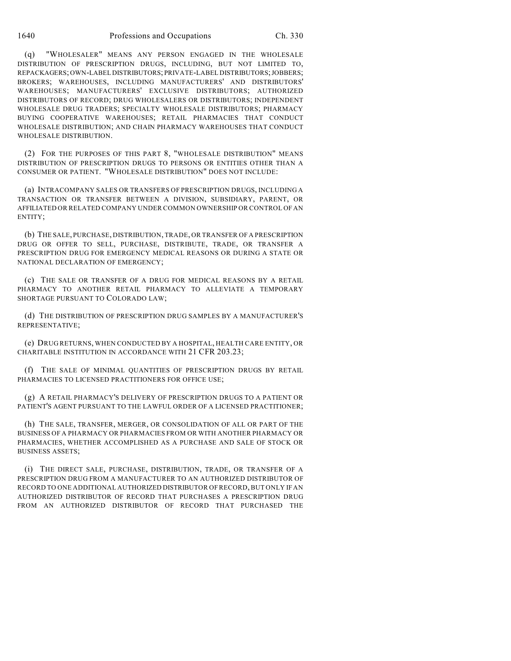1640 Professions and Occupations Ch. 330

(q) "WHOLESALER" MEANS ANY PERSON ENGAGED IN THE WHOLESALE DISTRIBUTION OF PRESCRIPTION DRUGS, INCLUDING, BUT NOT LIMITED TO, REPACKAGERS; OWN-LABEL DISTRIBUTORS; PRIVATE-LABEL DISTRIBUTORS; JOBBERS; BROKERS; WAREHOUSES, INCLUDING MANUFACTURERS' AND DISTRIBUTORS' WAREHOUSES; MANUFACTURERS' EXCLUSIVE DISTRIBUTORS; AUTHORIZED DISTRIBUTORS OF RECORD; DRUG WHOLESALERS OR DISTRIBUTORS; INDEPENDENT WHOLESALE DRUG TRADERS; SPECIALTY WHOLESALE DISTRIBUTORS; PHARMACY BUYING COOPERATIVE WAREHOUSES; RETAIL PHARMACIES THAT CONDUCT WHOLESALE DISTRIBUTION; AND CHAIN PHARMACY WAREHOUSES THAT CONDUCT WHOLESALE DISTRIBUTION.

(2) FOR THE PURPOSES OF THIS PART 8, "WHOLESALE DISTRIBUTION" MEANS DISTRIBUTION OF PRESCRIPTION DRUGS TO PERSONS OR ENTITIES OTHER THAN A CONSUMER OR PATIENT. "WHOLESALE DISTRIBUTION" DOES NOT INCLUDE:

(a) INTRACOMPANY SALES OR TRANSFERS OF PRESCRIPTION DRUGS, INCLUDING A TRANSACTION OR TRANSFER BETWEEN A DIVISION, SUBSIDIARY, PARENT, OR AFFILIATED OR RELATED COMPANY UNDER COMMON OWNERSHIP OR CONTROL OF AN ENTITY;

(b) THE SALE, PURCHASE, DISTRIBUTION, TRADE, OR TRANSFER OF A PRESCRIPTION DRUG OR OFFER TO SELL, PURCHASE, DISTRIBUTE, TRADE, OR TRANSFER A PRESCRIPTION DRUG FOR EMERGENCY MEDICAL REASONS OR DURING A STATE OR NATIONAL DECLARATION OF EMERGENCY;

(c) THE SALE OR TRANSFER OF A DRUG FOR MEDICAL REASONS BY A RETAIL PHARMACY TO ANOTHER RETAIL PHARMACY TO ALLEVIATE A TEMPORARY SHORTAGE PURSUANT TO COLORADO LAW;

(d) THE DISTRIBUTION OF PRESCRIPTION DRUG SAMPLES BY A MANUFACTURER'S REPRESENTATIVE;

(e) DRUG RETURNS, WHEN CONDUCTED BY A HOSPITAL, HEALTH CARE ENTITY, OR CHARITABLE INSTITUTION IN ACCORDANCE WITH 21 CFR 203.23;

(f) THE SALE OF MINIMAL QUANTITIES OF PRESCRIPTION DRUGS BY RETAIL PHARMACIES TO LICENSED PRACTITIONERS FOR OFFICE USE;

(g) A RETAIL PHARMACY'S DELIVERY OF PRESCRIPTION DRUGS TO A PATIENT OR PATIENT'S AGENT PURSUANT TO THE LAWFUL ORDER OF A LICENSED PRACTITIONER;

(h) THE SALE, TRANSFER, MERGER, OR CONSOLIDATION OF ALL OR PART OF THE BUSINESS OF A PHARMACY OR PHARMACIES FROM OR WITH ANOTHER PHARMACY OR PHARMACIES, WHETHER ACCOMPLISHED AS A PURCHASE AND SALE OF STOCK OR BUSINESS ASSETS;

(i) THE DIRECT SALE, PURCHASE, DISTRIBUTION, TRADE, OR TRANSFER OF A PRESCRIPTION DRUG FROM A MANUFACTURER TO AN AUTHORIZED DISTRIBUTOR OF RECORD TO ONE ADDITIONAL AUTHORIZED DISTRIBUTOR OF RECORD, BUT ONLY IF AN AUTHORIZED DISTRIBUTOR OF RECORD THAT PURCHASES A PRESCRIPTION DRUG FROM AN AUTHORIZED DISTRIBUTOR OF RECORD THAT PURCHASED THE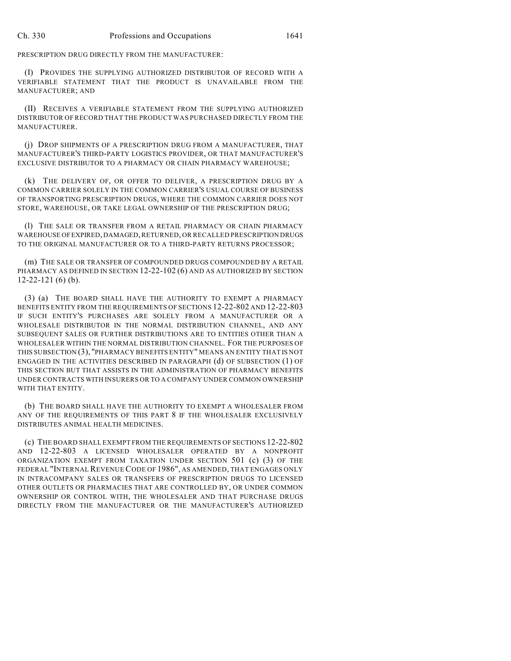PRESCRIPTION DRUG DIRECTLY FROM THE MANUFACTURER:

(I) PROVIDES THE SUPPLYING AUTHORIZED DISTRIBUTOR OF RECORD WITH A VERIFIABLE STATEMENT THAT THE PRODUCT IS UNAVAILABLE FROM THE MANUFACTURER; AND

(II) RECEIVES A VERIFIABLE STATEMENT FROM THE SUPPLYING AUTHORIZED DISTRIBUTOR OF RECORD THAT THE PRODUCT WAS PURCHASED DIRECTLY FROM THE MANUFACTURER.

(j) DROP SHIPMENTS OF A PRESCRIPTION DRUG FROM A MANUFACTURER, THAT MANUFACTURER'S THIRD-PARTY LOGISTICS PROVIDER, OR THAT MANUFACTURER'S EXCLUSIVE DISTRIBUTOR TO A PHARMACY OR CHAIN PHARMACY WAREHOUSE;

(k) THE DELIVERY OF, OR OFFER TO DELIVER, A PRESCRIPTION DRUG BY A COMMON CARRIER SOLELY IN THE COMMON CARRIER'S USUAL COURSE OF BUSINESS OF TRANSPORTING PRESCRIPTION DRUGS, WHERE THE COMMON CARRIER DOES NOT STORE, WAREHOUSE, OR TAKE LEGAL OWNERSHIP OF THE PRESCRIPTION DRUG;

(l) THE SALE OR TRANSFER FROM A RETAIL PHARMACY OR CHAIN PHARMACY WAREHOUSE OF EXPIRED, DAMAGED, RETURNED, OR RECALLED PRESCRIPTION DRUGS TO THE ORIGINAL MANUFACTURER OR TO A THIRD-PARTY RETURNS PROCESSOR;

(m) THE SALE OR TRANSFER OF COMPOUNDED DRUGS COMPOUNDED BY A RETAIL PHARMACY AS DEFINED IN SECTION 12-22-102 (6) AND AS AUTHORIZED BY SECTION 12-22-121 (6) (b).

(3) (a) THE BOARD SHALL HAVE THE AUTHORITY TO EXEMPT A PHARMACY BENEFITS ENTITY FROM THE REQUIREMENTS OF SECTIONS 12-22-802 AND 12-22-803 IF SUCH ENTITY'S PURCHASES ARE SOLELY FROM A MANUFACTURER OR A WHOLESALE DISTRIBUTOR IN THE NORMAL DISTRIBUTION CHANNEL, AND ANY SUBSEQUENT SALES OR FURTHER DISTRIBUTIONS ARE TO ENTITIES OTHER THAN A WHOLESALER WITHIN THE NORMAL DISTRIBUTION CHANNEL. FOR THE PURPOSES OF THIS SUBSECTION (3), "PHARMACY BENEFITS ENTITY" MEANS AN ENTITY THAT IS NOT ENGAGED IN THE ACTIVITIES DESCRIBED IN PARAGRAPH (d) OF SUBSECTION (1) OF THIS SECTION BUT THAT ASSISTS IN THE ADMINISTRATION OF PHARMACY BENEFITS UNDER CONTRACTS WITH INSURERS OR TO A COMPANY UNDER COMMON OWNERSHIP WITH THAT ENTITY.

(b) THE BOARD SHALL HAVE THE AUTHORITY TO EXEMPT A WHOLESALER FROM ANY OF THE REQUIREMENTS OF THIS PART 8 IF THE WHOLESALER EXCLUSIVELY DISTRIBUTES ANIMAL HEALTH MEDICINES.

(c) THE BOARD SHALL EXEMPT FROM THE REQUIREMENTS OF SECTIONS 12-22-802 AND 12-22-803 A LICENSED WHOLESALER OPERATED BY A NONPROFIT ORGANIZATION EXEMPT FROM TAXATION UNDER SECTION 501 (c) (3) OF THE FEDERAL "INTERNAL REVENUE CODE OF 1986", AS AMENDED, THAT ENGAGES ONLY IN INTRACOMPANY SALES OR TRANSFERS OF PRESCRIPTION DRUGS TO LICENSED OTHER OUTLETS OR PHARMACIES THAT ARE CONTROLLED BY, OR UNDER COMMON OWNERSHIP OR CONTROL WITH, THE WHOLESALER AND THAT PURCHASE DRUGS DIRECTLY FROM THE MANUFACTURER OR THE MANUFACTURER'S AUTHORIZED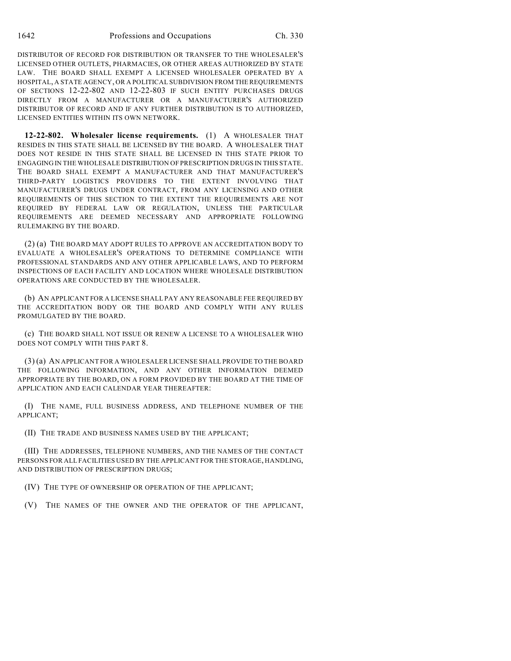DISTRIBUTOR OF RECORD FOR DISTRIBUTION OR TRANSFER TO THE WHOLESALER'S LICENSED OTHER OUTLETS, PHARMACIES, OR OTHER AREAS AUTHORIZED BY STATE LAW. THE BOARD SHALL EXEMPT A LICENSED WHOLESALER OPERATED BY A HOSPITAL, A STATE AGENCY, OR A POLITICAL SUBDIVISION FROM THE REQUIREMENTS OF SECTIONS 12-22-802 AND 12-22-803 IF SUCH ENTITY PURCHASES DRUGS DIRECTLY FROM A MANUFACTURER OR A MANUFACTURER'S AUTHORIZED DISTRIBUTOR OF RECORD AND IF ANY FURTHER DISTRIBUTION IS TO AUTHORIZED, LICENSED ENTITIES WITHIN ITS OWN NETWORK.

**12-22-802. Wholesaler license requirements.** (1) A WHOLESALER THAT RESIDES IN THIS STATE SHALL BE LICENSED BY THE BOARD. A WHOLESALER THAT DOES NOT RESIDE IN THIS STATE SHALL BE LICENSED IN THIS STATE PRIOR TO ENGAGING IN THE WHOLESALE DISTRIBUTION OF PRESCRIPTION DRUGS IN THIS STATE. THE BOARD SHALL EXEMPT A MANUFACTURER AND THAT MANUFACTURER'S THIRD-PARTY LOGISTICS PROVIDERS TO THE EXTENT INVOLVING THAT MANUFACTURER'S DRUGS UNDER CONTRACT, FROM ANY LICENSING AND OTHER REQUIREMENTS OF THIS SECTION TO THE EXTENT THE REQUIREMENTS ARE NOT REQUIRED BY FEDERAL LAW OR REGULATION, UNLESS THE PARTICULAR REQUIREMENTS ARE DEEMED NECESSARY AND APPROPRIATE FOLLOWING RULEMAKING BY THE BOARD.

(2) (a) THE BOARD MAY ADOPT RULES TO APPROVE AN ACCREDITATION BODY TO EVALUATE A WHOLESALER'S OPERATIONS TO DETERMINE COMPLIANCE WITH PROFESSIONAL STANDARDS AND ANY OTHER APPLICABLE LAWS, AND TO PERFORM INSPECTIONS OF EACH FACILITY AND LOCATION WHERE WHOLESALE DISTRIBUTION OPERATIONS ARE CONDUCTED BY THE WHOLESALER.

(b) AN APPLICANT FOR A LICENSE SHALL PAY ANY REASONABLE FEE REQUIRED BY THE ACCREDITATION BODY OR THE BOARD AND COMPLY WITH ANY RULES PROMULGATED BY THE BOARD.

(c) THE BOARD SHALL NOT ISSUE OR RENEW A LICENSE TO A WHOLESALER WHO DOES NOT COMPLY WITH THIS PART 8.

(3) (a) AN APPLICANT FOR A WHOLESALER LICENSE SHALL PROVIDE TO THE BOARD THE FOLLOWING INFORMATION, AND ANY OTHER INFORMATION DEEMED APPROPRIATE BY THE BOARD, ON A FORM PROVIDED BY THE BOARD AT THE TIME OF APPLICATION AND EACH CALENDAR YEAR THEREAFTER:

(I) THE NAME, FULL BUSINESS ADDRESS, AND TELEPHONE NUMBER OF THE APPLICANT;

(II) THE TRADE AND BUSINESS NAMES USED BY THE APPLICANT;

(III) THE ADDRESSES, TELEPHONE NUMBERS, AND THE NAMES OF THE CONTACT PERSONS FOR ALL FACILITIES USED BY THE APPLICANT FOR THE STORAGE, HANDLING, AND DISTRIBUTION OF PRESCRIPTION DRUGS;

(IV) THE TYPE OF OWNERSHIP OR OPERATION OF THE APPLICANT;

(V) THE NAMES OF THE OWNER AND THE OPERATOR OF THE APPLICANT,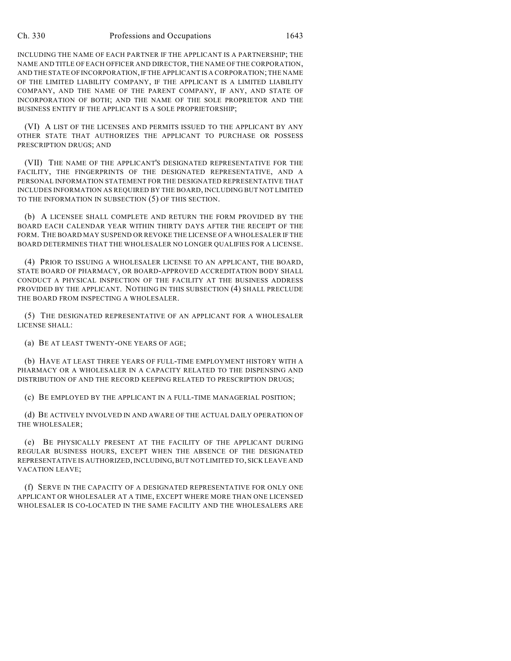INCLUDING THE NAME OF EACH PARTNER IF THE APPLICANT IS A PARTNERSHIP; THE NAME AND TITLE OF EACH OFFICER AND DIRECTOR, THE NAME OFTHE CORPORATION, AND THE STATE OF INCORPORATION, IF THE APPLICANT IS A CORPORATION; THE NAME OF THE LIMITED LIABILITY COMPANY, IF THE APPLICANT IS A LIMITED LIABILITY COMPANY, AND THE NAME OF THE PARENT COMPANY, IF ANY, AND STATE OF INCORPORATION OF BOTH; AND THE NAME OF THE SOLE PROPRIETOR AND THE BUSINESS ENTITY IF THE APPLICANT IS A SOLE PROPRIETORSHIP;

(VI) A LIST OF THE LICENSES AND PERMITS ISSUED TO THE APPLICANT BY ANY OTHER STATE THAT AUTHORIZES THE APPLICANT TO PURCHASE OR POSSESS PRESCRIPTION DRUGS; AND

(VII) THE NAME OF THE APPLICANT'S DESIGNATED REPRESENTATIVE FOR THE FACILITY, THE FINGERPRINTS OF THE DESIGNATED REPRESENTATIVE, AND A PERSONAL INFORMATION STATEMENT FOR THE DESIGNATED REPRESENTATIVE THAT INCLUDES INFORMATION AS REQUIRED BY THE BOARD, INCLUDING BUT NOT LIMITED TO THE INFORMATION IN SUBSECTION (5) OF THIS SECTION.

(b) A LICENSEE SHALL COMPLETE AND RETURN THE FORM PROVIDED BY THE BOARD EACH CALENDAR YEAR WITHIN THIRTY DAYS AFTER THE RECEIPT OF THE FORM. THE BOARD MAY SUSPEND OR REVOKE THE LICENSE OF A WHOLESALER IF THE BOARD DETERMINES THAT THE WHOLESALER NO LONGER QUALIFIES FOR A LICENSE.

(4) PRIOR TO ISSUING A WHOLESALER LICENSE TO AN APPLICANT, THE BOARD, STATE BOARD OF PHARMACY, OR BOARD-APPROVED ACCREDITATION BODY SHALL CONDUCT A PHYSICAL INSPECTION OF THE FACILITY AT THE BUSINESS ADDRESS PROVIDED BY THE APPLICANT. NOTHING IN THIS SUBSECTION (4) SHALL PRECLUDE THE BOARD FROM INSPECTING A WHOLESALER.

(5) THE DESIGNATED REPRESENTATIVE OF AN APPLICANT FOR A WHOLESALER LICENSE SHALL:

(a) BE AT LEAST TWENTY-ONE YEARS OF AGE;

(b) HAVE AT LEAST THREE YEARS OF FULL-TIME EMPLOYMENT HISTORY WITH A PHARMACY OR A WHOLESALER IN A CAPACITY RELATED TO THE DISPENSING AND DISTRIBUTION OF AND THE RECORD KEEPING RELATED TO PRESCRIPTION DRUGS;

(c) BE EMPLOYED BY THE APPLICANT IN A FULL-TIME MANAGERIAL POSITION;

(d) BE ACTIVELY INVOLVED IN AND AWARE OF THE ACTUAL DAILY OPERATION OF THE WHOLESALER;

(e) BE PHYSICALLY PRESENT AT THE FACILITY OF THE APPLICANT DURING REGULAR BUSINESS HOURS, EXCEPT WHEN THE ABSENCE OF THE DESIGNATED REPRESENTATIVE IS AUTHORIZED, INCLUDING, BUT NOT LIMITED TO, SICK LEAVE AND VACATION LEAVE;

(f) SERVE IN THE CAPACITY OF A DESIGNATED REPRESENTATIVE FOR ONLY ONE APPLICANT OR WHOLESALER AT A TIME, EXCEPT WHERE MORE THAN ONE LICENSED WHOLESALER IS CO-LOCATED IN THE SAME FACILITY AND THE WHOLESALERS ARE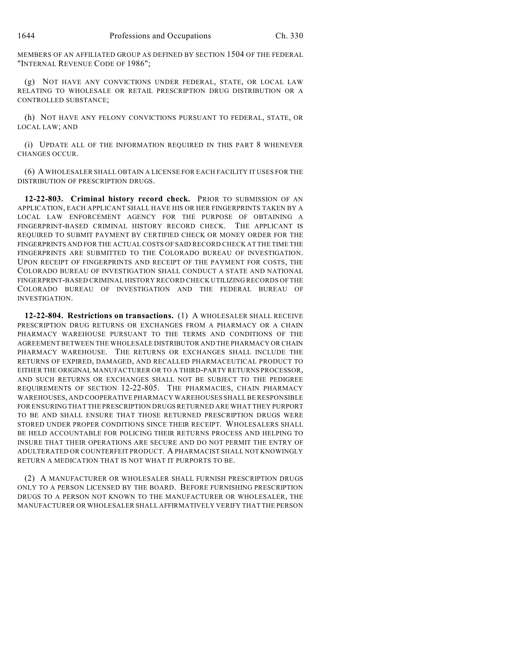MEMBERS OF AN AFFILIATED GROUP AS DEFINED BY SECTION 1504 OF THE FEDERAL "INTERNAL REVENUE CODE OF 1986";

(g) NOT HAVE ANY CONVICTIONS UNDER FEDERAL, STATE, OR LOCAL LAW RELATING TO WHOLESALE OR RETAIL PRESCRIPTION DRUG DISTRIBUTION OR A CONTROLLED SUBSTANCE;

(h) NOT HAVE ANY FELONY CONVICTIONS PURSUANT TO FEDERAL, STATE, OR LOCAL LAW; AND

(i) UPDATE ALL OF THE INFORMATION REQUIRED IN THIS PART 8 WHENEVER CHANGES OCCUR.

(6) A WHOLESALER SHALL OBTAIN A LICENSE FOR EACH FACILITY IT USES FOR THE DISTRIBUTION OF PRESCRIPTION DRUGS.

**12-22-803. Criminal history record check.** PRIOR TO SUBMISSION OF AN APPLICATION, EACH APPLICANT SHALL HAVE HIS OR HER FINGERPRINTS TAKEN BY A LOCAL LAW ENFORCEMENT AGENCY FOR THE PURPOSE OF OBTAINING A FINGERPRINT-BASED CRIMINAL HISTORY RECORD CHECK. THE APPLICANT IS REQUIRED TO SUBMIT PAYMENT BY CERTIFIED CHECK OR MONEY ORDER FOR THE FINGERPRINTS AND FOR THE ACTUAL COSTS OF SAID RECORD CHECK AT THE TIME THE FINGERPRINTS ARE SUBMITTED TO THE COLORADO BUREAU OF INVESTIGATION. UPON RECEIPT OF FINGERPRINTS AND RECEIPT OF THE PAYMENT FOR COSTS, THE COLORADO BUREAU OF INVESTIGATION SHALL CONDUCT A STATE AND NATIONAL FINGERPRINT-BASED CRIMINAL HISTORY RECORD CHECK UTILIZING RECORDS OF THE COLORADO BUREAU OF INVESTIGATION AND THE FEDERAL BUREAU OF INVESTIGATION.

**12-22-804. Restrictions on transactions.** (1) A WHOLESALER SHALL RECEIVE PRESCRIPTION DRUG RETURNS OR EXCHANGES FROM A PHARMACY OR A CHAIN PHARMACY WAREHOUSE PURSUANT TO THE TERMS AND CONDITIONS OF THE AGREEMENT BETWEEN THE WHOLESALE DISTRIBUTOR AND THE PHARMACY OR CHAIN PHARMACY WAREHOUSE. THE RETURNS OR EXCHANGES SHALL INCLUDE THE RETURNS OF EXPIRED, DAMAGED, AND RECALLED PHARMACEUTICAL PRODUCT TO EITHER THE ORIGINAL MANUFACTURER OR TO A THIRD-PARTY RETURNS PROCESSOR, AND SUCH RETURNS OR EXCHANGES SHALL NOT BE SUBJECT TO THE PEDIGREE REQUIREMENTS OF SECTION 12-22-805. THE PHARMACIES, CHAIN PHARMACY WAREHOUSES, AND COOPERATIVE PHARMACY WAREHOUSES SHALL BE RESPONSIBLE FOR ENSURING THAT THE PRESCRIPTION DRUGS RETURNED ARE WHAT THEY PURPORT TO BE AND SHALL ENSURE THAT THOSE RETURNED PRESCRIPTION DRUGS WERE STORED UNDER PROPER CONDITIONS SINCE THEIR RECEIPT. WHOLESALERS SHALL BE HELD ACCOUNTABLE FOR POLICING THEIR RETURNS PROCESS AND HELPING TO INSURE THAT THEIR OPERATIONS ARE SECURE AND DO NOT PERMIT THE ENTRY OF ADULTERATED OR COUNTERFEIT PRODUCT. A PHARMACIST SHALL NOT KNOWINGLY RETURN A MEDICATION THAT IS NOT WHAT IT PURPORTS TO BE.

(2) A MANUFACTURER OR WHOLESALER SHALL FURNISH PRESCRIPTION DRUGS ONLY TO A PERSON LICENSED BY THE BOARD. BEFORE FURNISHING PRESCRIPTION DRUGS TO A PERSON NOT KNOWN TO THE MANUFACTURER OR WHOLESALER, THE MANUFACTURER OR WHOLESALER SHALL AFFIRMATIVELY VERIFY THAT THE PERSON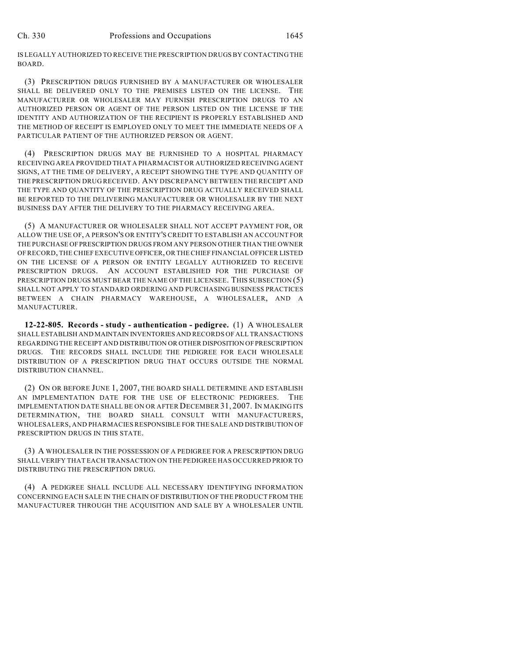IS LEGALLY AUTHORIZED TO RECEIVE THE PRESCRIPTION DRUGS BY CONTACTING THE BOARD.

(3) PRESCRIPTION DRUGS FURNISHED BY A MANUFACTURER OR WHOLESALER SHALL BE DELIVERED ONLY TO THE PREMISES LISTED ON THE LICENSE. THE MANUFACTURER OR WHOLESALER MAY FURNISH PRESCRIPTION DRUGS TO AN AUTHORIZED PERSON OR AGENT OF THE PERSON LISTED ON THE LICENSE IF THE IDENTITY AND AUTHORIZATION OF THE RECIPIENT IS PROPERLY ESTABLISHED AND THE METHOD OF RECEIPT IS EMPLOYED ONLY TO MEET THE IMMEDIATE NEEDS OF A PARTICULAR PATIENT OF THE AUTHORIZED PERSON OR AGENT.

(4) PRESCRIPTION DRUGS MAY BE FURNISHED TO A HOSPITAL PHARMACY RECEIVING AREA PROVIDED THAT A PHARMACIST OR AUTHORIZED RECEIVING AGENT SIGNS, AT THE TIME OF DELIVERY, A RECEIPT SHOWING THE TYPE AND QUANTITY OF THE PRESCRIPTION DRUG RECEIVED. ANY DISCREPANCY BETWEEN THE RECEIPT AND THE TYPE AND QUANTITY OF THE PRESCRIPTION DRUG ACTUALLY RECEIVED SHALL BE REPORTED TO THE DELIVERING MANUFACTURER OR WHOLESALER BY THE NEXT BUSINESS DAY AFTER THE DELIVERY TO THE PHARMACY RECEIVING AREA.

(5) A MANUFACTURER OR WHOLESALER SHALL NOT ACCEPT PAYMENT FOR, OR ALLOW THE USE OF, A PERSON'S OR ENTITY'S CREDIT TO ESTABLISH AN ACCOUNT FOR THE PURCHASE OF PRESCRIPTION DRUGS FROM ANY PERSON OTHER THAN THE OWNER OF RECORD, THE CHIEF EXECUTIVE OFFICER, OR THE CHIEF FINANCIAL OFFICER LISTED ON THE LICENSE OF A PERSON OR ENTITY LEGALLY AUTHORIZED TO RECEIVE PRESCRIPTION DRUGS. AN ACCOUNT ESTABLISHED FOR THE PURCHASE OF PRESCRIPTION DRUGS MUST BEAR THE NAME OF THE LICENSEE. THIS SUBSECTION (5) SHALL NOT APPLY TO STANDARD ORDERING AND PURCHASING BUSINESS PRACTICES BETWEEN A CHAIN PHARMACY WAREHOUSE, A WHOLESALER, AND A MANUFACTURER.

**12-22-805. Records - study - authentication - pedigree.** (1) A WHOLESALER SHALL ESTABLISH AND MAINTAIN INVENTORIES AND RECORDS OF ALL TRANSACTIONS REGARDING THE RECEIPT AND DISTRIBUTION OR OTHER DISPOSITION OF PRESCRIPTION DRUGS. THE RECORDS SHALL INCLUDE THE PEDIGREE FOR EACH WHOLESALE DISTRIBUTION OF A PRESCRIPTION DRUG THAT OCCURS OUTSIDE THE NORMAL DISTRIBUTION CHANNEL.

(2) ON OR BEFORE JUNE 1, 2007, THE BOARD SHALL DETERMINE AND ESTABLISH AN IMPLEMENTATION DATE FOR THE USE OF ELECTRONIC PEDIGREES. THE IMPLEMENTATION DATE SHALL BE ON OR AFTER DECEMBER 31, 2007. IN MAKING ITS DETERMINATION, THE BOARD SHALL CONSULT WITH MANUFACTURERS, WHOLESALERS, AND PHARMACIES RESPONSIBLE FOR THE SALE AND DISTRIBUTION OF PRESCRIPTION DRUGS IN THIS STATE.

(3) A WHOLESALER IN THE POSSESSION OF A PEDIGREE FOR A PRESCRIPTION DRUG SHALL VERIFY THAT EACH TRANSACTION ON THE PEDIGREE HAS OCCURRED PRIOR TO DISTRIBUTING THE PRESCRIPTION DRUG.

(4) A PEDIGREE SHALL INCLUDE ALL NECESSARY IDENTIFYING INFORMATION CONCERNING EACH SALE IN THE CHAIN OF DISTRIBUTION OF THE PRODUCT FROM THE MANUFACTURER THROUGH THE ACQUISITION AND SALE BY A WHOLESALER UNTIL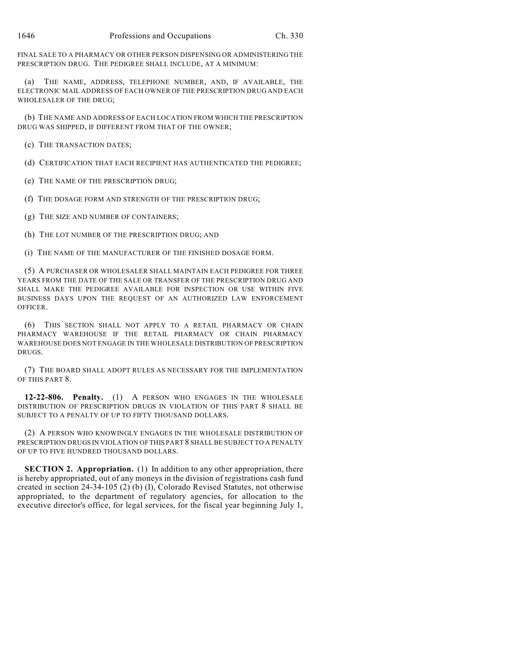FINAL SALE TO A PHARMACY OR OTHER PERSON DISPENSING OR ADMINISTERING THE PRESCRIPTION DRUG. THE PEDIGREE SHALL INCLUDE, AT A MINIMUM:

(a) THE NAME, ADDRESS, TELEPHONE NUMBER, AND, IF AVAILABLE, THE ELECTRONIC MAIL ADDRESS OF EACH OWNER OF THE PRESCRIPTION DRUG AND EACH WHOLESALER OF THE DRUG;

(b) THE NAME AND ADDRESS OF EACH LOCATION FROM WHICH THE PRESCRIPTION DRUG WAS SHIPPED, IF DIFFERENT FROM THAT OF THE OWNER;

(c) THE TRANSACTION DATES;

(d) CERTIFICATION THAT EACH RECIPIENT HAS AUTHENTICATED THE PEDIGREE;

(e) THE NAME OF THE PRESCRIPTION DRUG;

(f) THE DOSAGE FORM AND STRENGTH OF THE PRESCRIPTION DRUG;

(g) THE SIZE AND NUMBER OF CONTAINERS;

(h) THE LOT NUMBER OF THE PRESCRIPTION DRUG; AND

(i) THE NAME OF THE MANUFACTURER OF THE FINISHED DOSAGE FORM.

(5) A PURCHASER OR WHOLESALER SHALL MAINTAIN EACH PEDIGREE FOR THREE YEARS FROM THE DATE OF THE SALE OR TRANSFER OF THE PRESCRIPTION DRUG AND SHALL MAKE THE PEDIGREE AVAILABLE FOR INSPECTION OR USE WITHIN FIVE BUSINESS DAYS UPON THE REQUEST OF AN AUTHORIZED LAW ENFORCEMENT OFFICER.

(6) THIS SECTION SHALL NOT APPLY TO A RETAIL PHARMACY OR CHAIN PHARMACY WAREHOUSE IF THE RETAIL PHARMACY OR CHAIN PHARMACY WAREHOUSE DOES NOT ENGAGE IN THE WHOLESALE DISTRIBUTION OF PRESCRIPTION DRUGS.

(7) THE BOARD SHALL ADOPT RULES AS NECESSARY FOR THE IMPLEMENTATION OF THIS PART 8.

**12-22-806. Penalty.** (1) A PERSON WHO ENGAGES IN THE WHOLESALE DISTRIBUTION OF PRESCRIPTION DRUGS IN VIOLATION OF THIS PART 8 SHALL BE SUBJECT TO A PENALTY OF UP TO FIFTY THOUSAND DOLLARS.

(2) A PERSON WHO KNOWINGLY ENGAGES IN THE WHOLESALE DISTRIBUTION OF PRESCRIPTION DRUGS IN VIOLATION OF THIS PART 8 SHALL BE SUBJECT TO A PENALTY OF UP TO FIVE HUNDRED THOUSAND DOLLARS.

**SECTION 2. Appropriation.** (1) In addition to any other appropriation, there is hereby appropriated, out of any moneys in the division of registrations cash fund created in section 24-34-105 (2) (b) (I), Colorado Revised Statutes, not otherwise appropriated, to the department of regulatory agencies, for allocation to the executive director's office, for legal services, for the fiscal year beginning July 1,